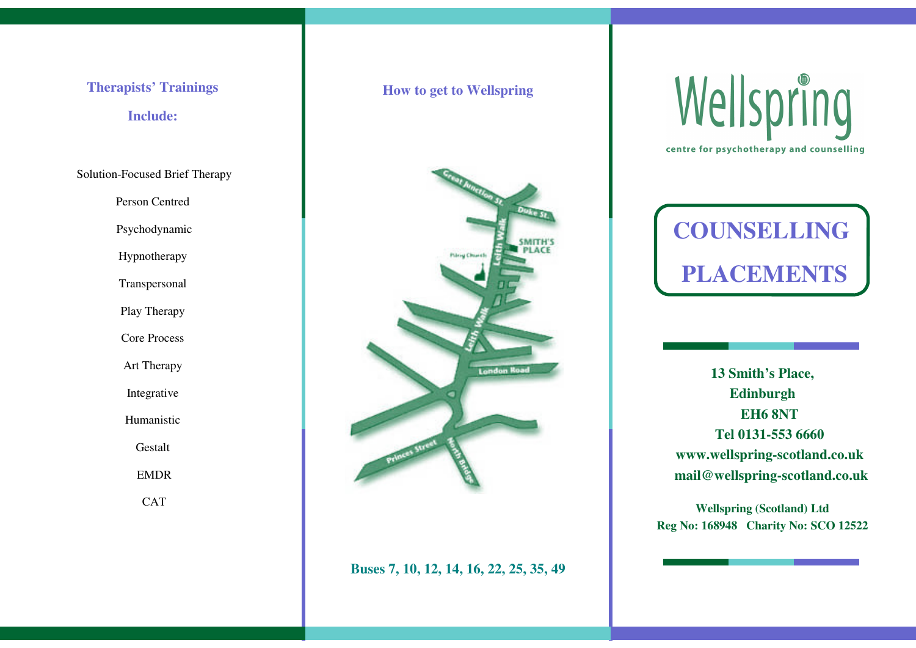# **Therapists' Trainings**

## **Include:**

Solution-Focused Brief Therapy

Person Centred

Psychodynamic

Hypnotherapy

Transpersonal

Play Therapy

Core Process

Art Therapy

Integrative

Humanistic

Gestalt

EMDR

**CAT** 

### **How to get to Wellspring**



### **Buses 7, 10, 12, 14, 16, 22, 25, 35, 49**





**13 Smith's Place, Edinburgh EH6 8NTTel 0131-553 6660 www.wellspring-scotland.co.uk mail@wellspring-scotland.co.uk**

**Wellspring (Scotland) Ltd Reg No: 168948 Charity No: SCO 12522**